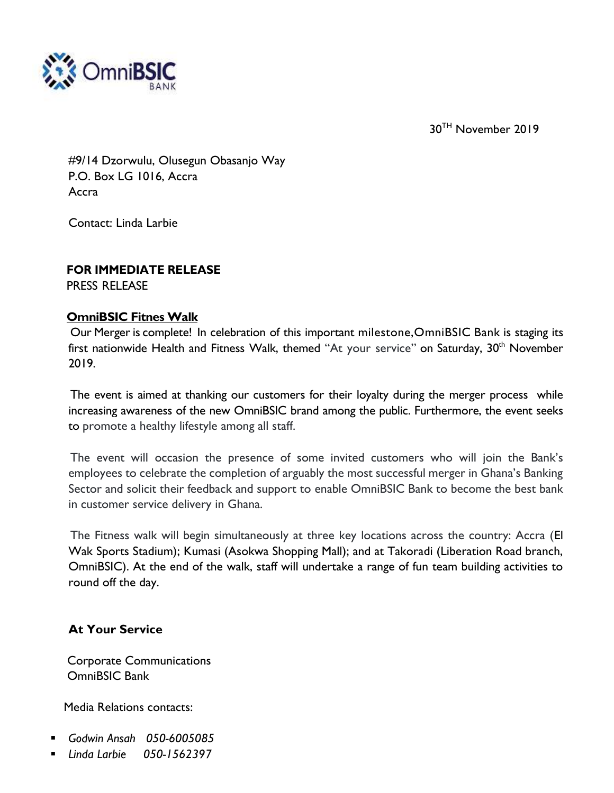

30TH November 2019

#9/14 Dzorwulu, Olusegun Obasanjo Way P.O. Box LG 1016, Accra Accra

Contact: Linda Larbie

## **FOR IMMEDIATE RELEASE**

PRESS RELEASE

## **OmniBSIC Fitnes Walk**

Our Merger is complete! In celebration of this important milestone,OmniBSIC Bank is staging its first nationwide Health and Fitness Walk, themed "At your service" on Saturday, 30<sup>th</sup> November 2019.

The event is aimed at thanking our customers for their loyalty during the merger process while increasing awareness of the new OmniBSIC brand among the public. Furthermore, the event seeks to promote a healthy lifestyle among all staff.

The event will occasion the presence of some invited customers who will join the Bank's employees to celebrate the completion of arguably the most successful merger in Ghana's Banking Sector and solicit their feedback and support to enable OmniBSIC Bank to become the best bank in customer service delivery in Ghana.

The Fitness walk will begin simultaneously at three key locations across the country: Accra (El Wak Sports Stadium); Kumasi (Asokwa Shopping Mall); and at Takoradi (Liberation Road branch, OmniBSIC). At the end of the walk, staff will undertake a range of fun team building activities to round off the day.

## **At Your Service**

 Corporate Communications OmniBSIC Bank

Media Relations contacts:

- *Godwin Ansah 050-6005085*
- *Linda Larbie 050-1562397*